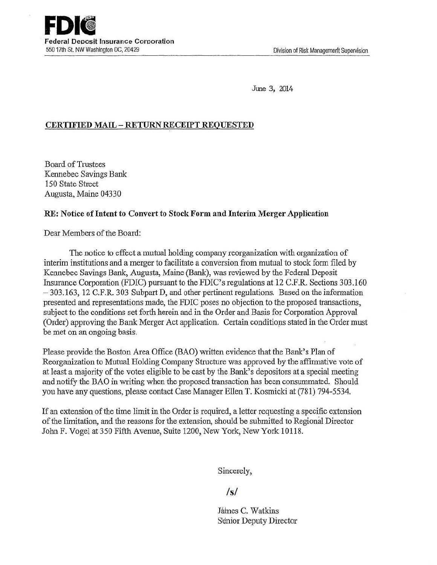June 3, 2014

# CERTIFIED MAIL- RETURN RECEIPT REQUESTED

Board of Trustees Kennebec Savings Bank 150 State Street Augusta, Maine 04330

#### RE: Notice of Intent to Convert to Stock Form and Interim Merger Application

Dear Members of the Board:

The notice to effect a mutual holding company reorganization with organization of interim institutions and a merger to facilitate a conversion from mutual to stock form filed by Kennebec Savings Bank, Augusta, Maine (Bank), was reviewed by the Federal Deposit Insurance Corporation (FDIC) pursuant to the FDIC's regulations at 12 C.F.R. Sections 303.160 - 303.163, 12 C.F.R. 303 Subpart D, and other pertinent regulations. Based on the information presented and representations made, the FDIC poses no objection to the proposed transactions, subject to the conditions set forth herein and in the Order and Basis for Corporation Approval (Order) approving the Bank Merger Act application. Certain conditions stated in the Order must be met on an ongoing basis.

Please provide the Boston Area Office (BAO) written evidence that the Bank's Plan of Reorganization to Mutual Holding Company Structure was approved by the affirmative vote of at least a majority of the votes eligible to be cast by the Bank's depositors at a special meeting and notify the BAO in writing when the proposed transaction has been consummated. Should you have any questions, please contact Case Manager Ellen T. Kosmicki at (781) 794-5534.

If an extension of the time limit in the Order is required, a letter requesting a specific extension of the limitation, and the reasons for the extension, should be submitted to Regional Director John F. Vogel at 350 Fifth Avenue, Suite 1200, New York, New York 10118.

Sincerely,

*Is/* 

Jámes C. Watkins Sénior Deputy Director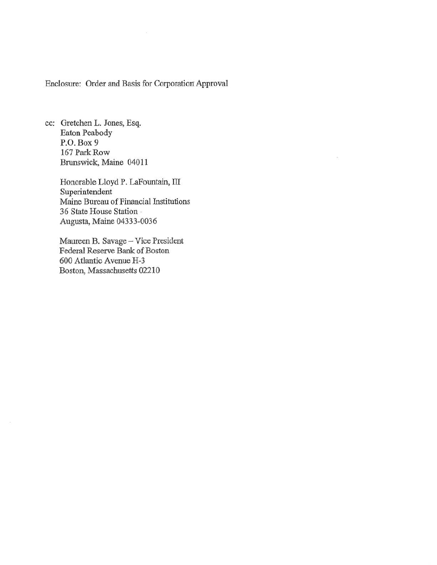Enclosure: Order and Basis for Corporation Approval

 $\mathcal{D}$ 

cc: Gretchen L. Jones, Esq. Eaton Peabody P.O. Box9 167 Park Row Brunswick, Maine 04011

> Honorable Lloyd P. LaFountain, IJI Superintendent Maine Bureau of Financial Institutions 36 State House Station · Augusta, Maine 04333-0036

Maureen B. Savage- Vice President Federal Reserve Bank of Boston 600 Atlantic Avenue H-3 Boston, Massachusetts 02210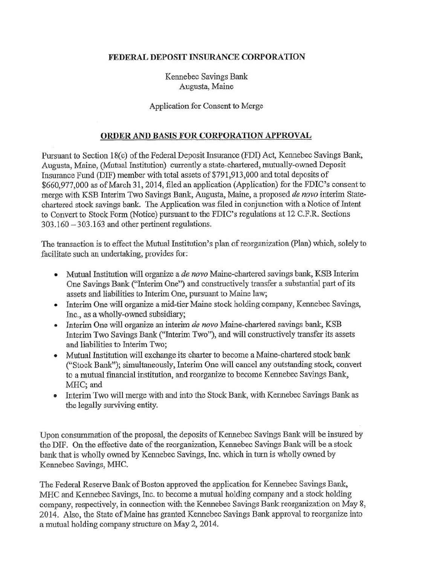### FEDERAL DEPOSIT INSURANCE CORPORATION

## Kennebec Savings Bank Augusta, Maine

#### Application for Consent to Merge

## ORDER AND BASIS FOR CORPORATION APPROVAL

Pursuant to Section 18(c) of the Federal Deposit Insurance (FDI) Act, Kennebec Savings Bank, Augusta, Maine, (Mutual Institution) currently a state-chartered, mutually-owned Deposit Insurance Fund (DIF) member with total assets of \$791,913,000 and total deposits of \$660,977,000 as of March 31, 2014, filed an application (Application) for the FDIC's consent to merge with KSB Interim Two Savings Bank, Augusta, Maine, a proposed *de novo* interim Statechartered stock savings bank. The Application was filed in conjunction with a Notice of Intent to Convert to Stock Form (Notice) pursuant to the FDIC's regulations at 12 C.P.R. Sections  $303.160 - 303.163$  and other pertinent regulations.

The transaction is to effect the Mutual Institution's plan of reorganization (Plan) which, solely to facilitate such an undertaking, provides for:

- Mutual Institution will organize a *de novo* Maine-chartered savings bank, KSB Interim One Savings Bank ("Interim One") and constructively transfer a substantial part of its assets and liabilities to Interim One, pursuant to Maine law;
- Interim One will organize a mid-tier Maine stock holding company, Kennebec Savings, Inc., as a wholly-owned subsidiary;
- Interim One will organize an interim *de novo* Maine-chartered savings bank, KSB Interim Two Savings Bank ("Interim Two"), and will constructively transfer its assets and liabilities to Interim Two;
- Mutual Institution will exchange its charter to become a Maine-chartered stock bank ("Stock Bank"); simultaneously, Interim One will cancel any outstanding stock, convert to a mutual financial institution, and reorganize to become Kennebec Savings Bank, MHC; and
- Interim Two will merge with and into the Stock Bank, with Kennebec Savings Bank as the legally surviving entity.

Upon consummation of the proposal, the deposits ofKennebec Savings Bank will be insured by the DIF. On the effective date of the reorganization, Kennebec Savings Bank will be a stock bank that is wholly owned by Kennebec Savings, Inc. which in tum is wholly owned by Kennebec Savings, MHC.

The Federal Reserve Bank of Boston approved the application for Kennebec Savings Bank, MHC and Kennebec Savings, Inc. to become a mutual holding company and a stock holding company, respectively, in connection with the Kennebec Savings Bank reorganization on May 8, 2014. Also, the State of Maine has granted Kennebec Savings Bank approval to reorganize into a mutual holding company structure on May 2, 2014.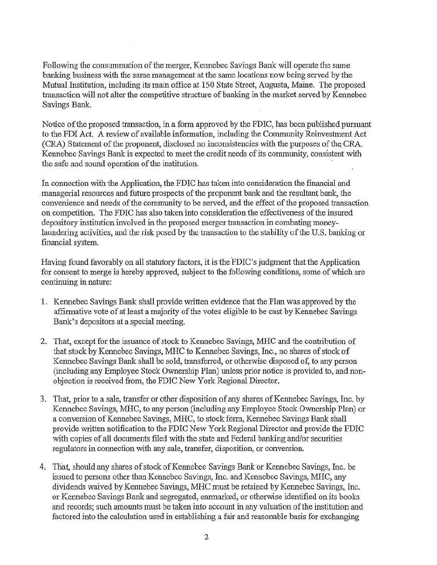Following the consummation of the merger, Kennebec Savings Bank will operate the same banking business with the same management at the same locations now being served by the Mutual Institution, including its main office at 150 State Street, Augusta, Maine. The proposed transaction will not alter the competitive structure of banking in the market served by Kennebec Savings Bank.

Notice of the proposed transaction, in a form approved by the FDIC, has been published pursuant to the FDI Act. A review of available information, including the Community Reinvestment Act (CRA) Statement of the proponent, disclosed no inconsistencies with the purposes of the CRA. Kennebec Savings Bank is expected to meet the credit needs of its community, consistent with the safe and sound operation of the institution.

In connection with the Application, the FDIC has taken into consideration the financial and . managerial resources and future prospects of the proponent bank and the resultant bank, the convenience and needs of the community to be served, and the effect of the proposed transaction on competition. The FDIC has also taken into consideration the effectiveness of the insured depository institution involved in the proposed merger transaction in combating moneylaundering activities, and the risk posed by the transaction to the stability of the U.S. banking or financial system.

Having found favorably on all statutory factors, it is the FDIC's judgment that the Application for consent to merge is hereby approved, subject to the following conditions, some of which are continuing in nature:

- 1. Kennebec Savings Bank shall provide written evidence that the Plan was approved by the affirmative vote of at least a majority of the votes eligible to be cast by Kennebec Savings Bank's depositors at a special meeting.
- 2. That, except for the issuance of stock to Kennebec Savings, MHC and the contribution of that stock by Kennebec Savings, MHC to Kennebec Savings, Inc., no shares of stock of Kennebec Savings Bank shall be sold, transferred, or otherwise disposed of, to any person (including any Employee Stock Ownership Plan) unless prior notice is provided to, and nonobjection is received from, the FDIC New York Regional Director.
- 3. That, prior to a sale, transfer or other disposition of any shares of Kennebec Savings, Inc. by Kennebec Savings, MHC, to any person (including any Employee Stock Ownership Plan) or a conversion of Kennebec Savings, MHC, to stock form, Kennebec Savings Bank shall provide written notification to the FDIC New York Regional Director and provide the FDIC with copies of all documents filed with the state and Federal banking and/or securities regulators in connection with any sale, transfer, disposition, or conversion.
- 4. That, should any shares of stock of Kennebec Savings Bank or Kennebec Savings, Inc. be issued to persons other than Kennebec Savings, Inc. and Kennebec Savings, MHC, any dividends waived by Kennebec Savings, MHC must be retained by Kennebec Savings, Inc. or Kennebec Savings Bank and segregated, earmarked, or otherwise identified on its books and records; such amounts must be taken into account in any valuation of the institution and factored into the calculation used in establishing a fair and reasonable basis for exchanging